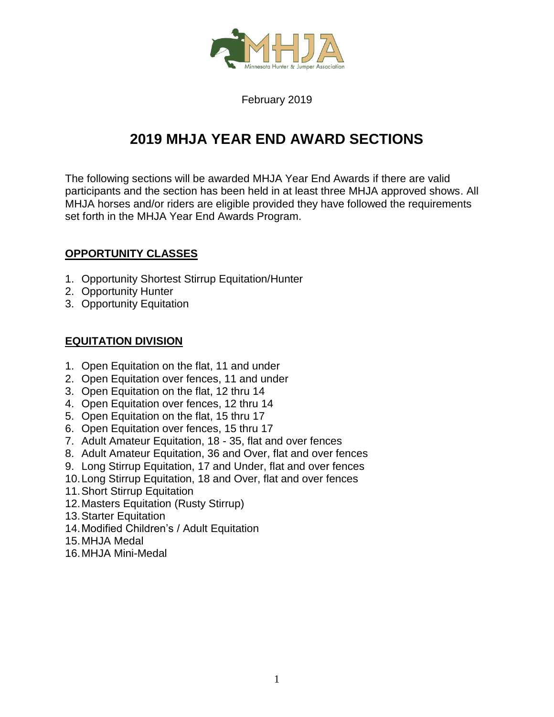

February 2019

# **2019 MHJA YEAR END AWARD SECTIONS**

The following sections will be awarded MHJA Year End Awards if there are valid participants and the section has been held in at least three MHJA approved shows. All MHJA horses and/or riders are eligible provided they have followed the requirements set forth in the MHJA Year End Awards Program.

## **OPPORTUNITY CLASSES**

- 1. Opportunity Shortest Stirrup Equitation/Hunter
- 2. Opportunity Hunter
- 3. Opportunity Equitation

## **EQUITATION DIVISION**

- 1. Open Equitation on the flat, 11 and under
- 2. Open Equitation over fences, 11 and under
- 3. Open Equitation on the flat, 12 thru 14
- 4. Open Equitation over fences, 12 thru 14
- 5. Open Equitation on the flat, 15 thru 17
- 6. Open Equitation over fences, 15 thru 17
- 7. Adult Amateur Equitation, 18 35, flat and over fences
- 8. Adult Amateur Equitation, 36 and Over, flat and over fences
- 9. Long Stirrup Equitation, 17 and Under, flat and over fences
- 10.Long Stirrup Equitation, 18 and Over, flat and over fences
- 11.Short Stirrup Equitation
- 12.Masters Equitation (Rusty Stirrup)
- 13.Starter Equitation
- 14.Modified Children's / Adult Equitation
- 15.MHJA Medal
- 16.MHJA Mini-Medal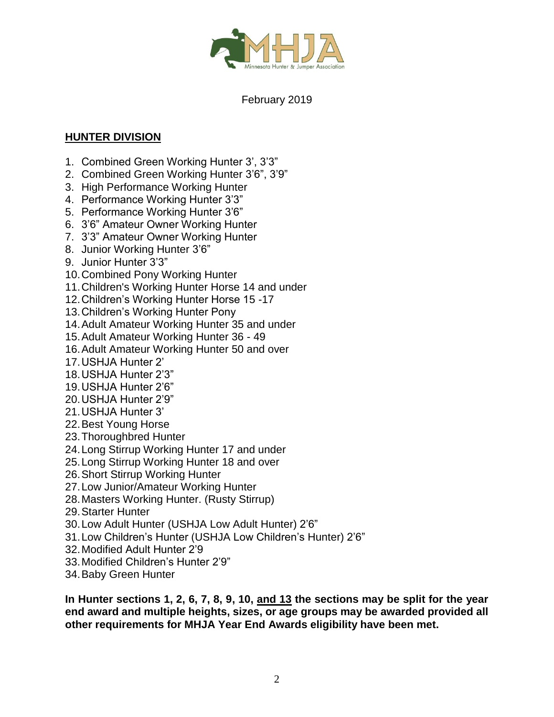

## February 2019

## **HUNTER DIVISION**

- 1. Combined Green Working Hunter 3', 3'3"
- 2. Combined Green Working Hunter 3'6", 3'9"
- 3. High Performance Working Hunter
- 4. Performance Working Hunter 3'3"
- 5. Performance Working Hunter 3'6"
- 6. 3'6" Amateur Owner Working Hunter
- 7. 3'3" Amateur Owner Working Hunter
- 8. Junior Working Hunter 3'6"
- 9. Junior Hunter 3'3"
- 10.Combined Pony Working Hunter
- 11.Children's Working Hunter Horse 14 and under
- 12.Children's Working Hunter Horse 15 -17
- 13.Children's Working Hunter Pony
- 14.Adult Amateur Working Hunter 35 and under
- 15.Adult Amateur Working Hunter 36 49
- 16.Adult Amateur Working Hunter 50 and over
- 17.USHJA Hunter 2'
- 18.USHJA Hunter 2'3"
- 19.USHJA Hunter 2'6"
- 20.USHJA Hunter 2'9"
- 21.USHJA Hunter 3'
- 22.Best Young Horse
- 23.Thoroughbred Hunter
- 24.Long Stirrup Working Hunter 17 and under
- 25.Long Stirrup Working Hunter 18 and over
- 26.Short Stirrup Working Hunter
- 27.Low Junior/Amateur Working Hunter
- 28.Masters Working Hunter. (Rusty Stirrup)
- 29.Starter Hunter
- 30.Low Adult Hunter (USHJA Low Adult Hunter) 2'6"
- 31.Low Children's Hunter (USHJA Low Children's Hunter) 2'6"
- 32.Modified Adult Hunter 2'9
- 33.Modified Children's Hunter 2'9"
- 34.Baby Green Hunter

**In Hunter sections 1, 2, 6, 7, 8, 9, 10, and 13 the sections may be split for the year end award and multiple heights, sizes, or age groups may be awarded provided all other requirements for MHJA Year End Awards eligibility have been met.**